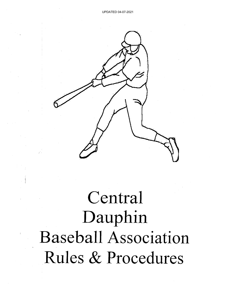

Central Dauphin **Baseball Association** Rules & Procedures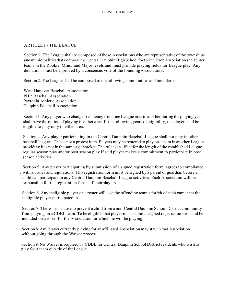## ARTICLE I - THE LEAGUE

Section 1. The League shall be composed of those Associations who are representative of the townships and municipalitiesthat compose the Central Dauphin High School footprint. Each Association shall enter teams in the Rookie, Minor and Major levels and must provide playing fields for League play. Any deviations must be approved by a consensus vote of the foundingAssociations.

Section 2. The League shall be composed ofthe following communities and boundaries:

West Hanover Baseball Association PHR Baseball Association Paxtonia Athletic Association Dauphin Baseball Association

Section 3. Any player who changes residency from one League area to another during the playing year shall have the option of playing in either area. In the following years of eligibility, the player shall be eligible to play only in either area.

Section 4. Any player participating in the Central Dauphin Baseball League shall not play in other baseball leagues. This is not a protest item. Players may be rostered to play on a team in another League providing it is not in the same age bracket. The rule is in affect for the length of the established League regular season play and/or post season play if said player makes a commitment to participate in post season activities.

Section 5. Any player participating by submission of a signed registration form, agrees to compliance . with all rules and regulations. This registration form must be signed by a parent or guardian before a child can participate in any Central Dauphin Baseball League activities. Each Association will be responsible for the registration forms of theirplayers.

Section 6. Any ineligible player on a roster will cost the offending team a forfeit of each game that the ineligible player participated in.

Section 7. There is no clause to prevent a child from a non-Central Dauphin School District community from playing on a CDBL team. To be eligible, that player must submit a signed registration form and be included on a roster for the Association for which he will be playing.

Section 8. Any player currently playing for an affiliated Association may stay in that Association without going through the Waiver process.

Section 9. No Waiver is required by CDBL for Central Dauphin School District residents who wish to play for a team outside of theLeague.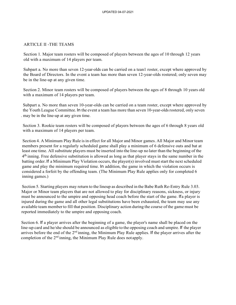### ARTICLE II -THE TEAMS

Section 1. Major team rosters will be composed of players between the ages of 10 through 12 years old with a maximum of 14 players per team.

Subpart a. No more than seven 12-year-olds can be carried on a tean1 roster, except where approved by the Board of Directors. In the event a team has more than seven 12-year-olds rostered; only seven may be in the line-up at any given time.

Section 2. Minor team rosters will be composed of players between the ages of 8 through 10 years old with a maximum of 14 players per team.

Subpart a. No more than seven 10-year-olds can be carried on a team roster, except where approved by the Youth League Committee. In the event a team has more than seven 10-year-oldsrostered, only seven . may be in the line-up at any given time.

Section 3. Rookie team rosters will be composed of players between the ages of 6 through 8 years old with a maximum of 14 players per team.

Section 4. A Minimum Play Rule isin effect for all Major and Minor games. All Major and Minor team members present for a regularly scheduled game shall play a minimum of 6 defensive outs and bat at least one time. All substitute players must be inserted into the line-up no later than the beginning of the 4<sup>th</sup> inning. Free defensive substitution is allowed as long as that player stays in the same number in the batting order.If a Minimum Play Violation occurs, the player(s) involved muststart the next scheduled game and play the minimum required time. In addition, the game in which the violation occurs is considered a forfeit by the offending team. (The Minimum Play Rule applies only for completed 6 inning games.)

Section 5. Starting players may return to the lineup as described in the Babe Ruth Re-Entry Rule 3.03. Major or Minor team players that are not allowed to play for disciplinary reasons, sickness, or injury must be announced to the umpire and opposing head coach before the start of the game. Ifa player is injured during the game and all other legal substitutions have been exhausted, the team may use any available team member to fill that position. Disciplinary action during the course of the game must be reported immediately to the umpire and opposing coach.

Section 6. If a player arrives after the beginning of a game, the player's name shall be placed on the line-up card and he/she should be announced as eligible to the opposing coach and umpire. If the player arrives before the end of the 2<sup>nd</sup> inning, the Minimum Play Rule applies. If the player arrives after the completion of the  $2<sup>nd</sup>$  inning, the Minimum Play Rule does not apply.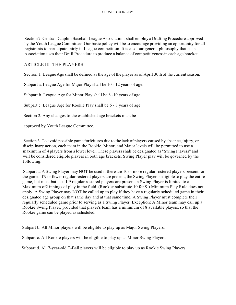Section 7. Central Dauphin Baseball League Associationsshall employ a Drafting Procedure approved by the Youth League Committee. Our basic policy will be to encourage providing an opportunity for all registrants to participate fairly in League competition. It is also our general philosophy that each Association uses their Draft Procedure to produce a balance of competitivenessin each age bracket.

## ARTICLE III -THE PLAYERS

Section I.·LeagueAge shall be defined asthe age of the player as of April 30th of the current season.

Subpart a. League Age for Major Play shall be 10 - 12 years of age.

Subpart b. League Age for Minor Play shall be 8 -10 years of age

Subpart c. League Age for Rookie Play shall be 6 - 8 years of age

Section 2. Any changes to the established age brackets must be

approved by Youth League Committee.

Section 3. To avoid possible game forfeitures due to the lack of players caused by absence, injury, or disciplinary action, each team in the Rookie, Minor, and Major levels will be permitted to use a maximum of 4 players from a lower level. These players shall be designated as "Swing Players" and will be considered eligible players in both age brackets. Swing Player play will be governed by the following:

Subpart a. A Swing Player may NOT be used if there are 10 or more regular rostered players present for the game. If 9 or fewer regular rostered players are present, the Swing Player is eligible to play the entire game, but must bat last. If9 regular rostered players are present, a Swing Player is limited to a Maximum of2 innings of play in the field. (Rookie: substitute 10 for 9.) Minimum Play Rule does not apply. A Swing Player may NOT be called up to play if they have a regularly scheduled game in their designated age group on that same day and at that same time. A Swing Player must complete their regularly scheduled game prior to serving as a Swing Player. Exception: A Minor team may call up a Rookie Swing Player, provided that player's team has a minimum of 8 available players, so that the Rookie game can be played as scheduled.

Subpart b. All Minor players will be eligible to play up as Major Swing Players.

Subpart c. All Rookie players will be eligible to play up as Minor Swing Players.

Subpart d. All 7-year-old T-Ball players will be eligible to play up as Rookie Swing Players.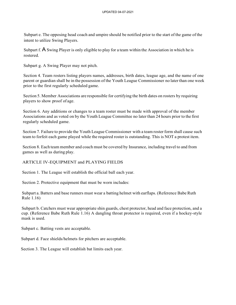Subpart e. The opposing head coach and umpire should be notified prior to the start of the game ofthe intent to utilize Swing Players.

Subpart f. A Swing Player is only eligible to play for a team within the Association in which he is rostered.

Subpart g. A Swing Player may not pitch.

Section 4. Team rosters listing players names, addresses, birth dates, league age, and the name of one parent or guardian shall be in the possession of the Youth League Commissioner no later than one week prior to the first regularly scheduled game.

Section 5. Member Associations are responsible for certifying the birth dates on rosters by requiring players to show proof of age.

Section 6. Any additions or changes to a team roster must be made with approval of the member Associations and as voted on by the Youth League Committee no later than 24 hours prior to the first regularly scheduled game.

Section 7. Failure to provide the Youth League Commissioner with a team roster form shall cause such team to forfeit each game played while the required roster is outstanding. This is NOT a protest item.

Section 8. Each team member and coach must be covered by Insurance, including travel to and from games as well as during play.

## ARTICLE IV-EQUIPMENT and PLAYING FIELDS

Section 1. The League will establish the official ball each year.

Section 2. Protective equipment that must be worn includes:

Subpart a. Batters and base runners must wear a batting helmet with earflaps. (Reference Babe Ruth Rule 1.16)

Subpart b. Catchers must wear appropriate shin guards, chest protector, head and face protection, and a cup. (Reference Babe Ruth Rule 1.16) A dangling throat protector is required, even if a hockey-style mask is used.

Subpart c. Batting vests are acceptable.

Subpart d. Face shields/helmets for pitchers are acceptable.

Section 3. The League will establish bat limits each year.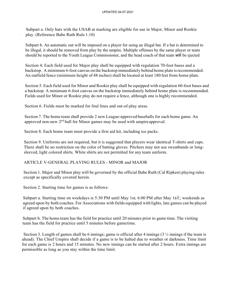Subpart a. Only bats with the USAB at marking are eligible for use in Major, Minor and Rookie play. (Reference Babe Ruth Rule 1.10)

Subpart b. An automatic out will be imposed on a player for using an illegal bat. If a bat is determined to be illegal, it should be removed from play by the umpire. Multiple offenses by the same player or team should be reported to the Youth League Commissioner, and the head coach of that team will be ejected

Section 4; Each field used for Major play shall be equipped with regulation 70-foot bases and a backstop. A minimum 6-foot canvas on the backstop immediately behind home plate is recommended. An outfield fence (minimum height of 48 inches) shall be located at least 180 feet from home plate.

Section 5. Each field used for Minor and Rookie play shall be equipped with regulation 60-foot bases and a backstop. A minimum 6-foot canvas on the backstop immediately behind home plate is recommended. Fields used for Minor or Rookie play do not require a fence, although one is highly recommended.

Section 6. Fields must be marked for foul lines and out-of-play areas.

Section 7. The home team shall provide 2 new League-approved baseballs for each home game. An approved non-new  $2<sup>nd</sup>$  ball for Minor games may be used with umpire approval.

Section 8. Each home team must provide a first aid kit, including ice packs.

Section 9. Uniforms are not required, but it is suggested that players wear identical T-shirts and caps. There shall be no restriction on the color of batting gloves. Pitchers may not use sweatbands or longsleeved, light colored shirts. White shirts are not permitted for any team uniform.

### ARTICLE V-GENERAL PLAYING RULES - MINOR and MAJOR

Section 1. Major and Minor play will be governed by the official Babe Ruth (Cal Ripken) playing rules except as specifically covered herein.

Section 2. Starting time for games is as follows:

Subpart a. Starting time on weekdays is 5:30 PM until May 1st; 6:00 PM after May 1s1; weekends as agreed upon by both coaches. For Associations with fields equipped with lights, late games can be played if agreed upon by both coaches.

Subpart b. The home team has the field for practice until 20 minutes prior to game time. The visiting team has the field for practice until 5 minutes before gametime.

Section 3. Length of games shall be 6 innings; game is official after 4 innings  $(3 \frac{1}{2})$  innings if the team is ahead). The Chief Umpire shall decide if a game is to be halted due to weather or darkness. Time limit for each game is 2 hours and 15 minutes. No new innings can be started after 2 hours. Extra innings are permissible as long as you stay within the time limit.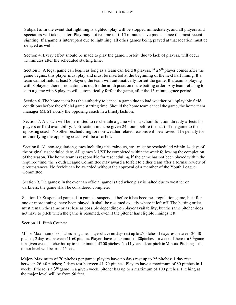Subpart a. In the event that lightning is sighted, play will be stopped immediately, and all players and spectators will take shelter. Play may not resume until 15 minutes have passed since the most recent sighting. If a game is interrupted due to lightning, all other games being played at that location must be delayed as well.

Section 4. Every effort should be made to play the game. Forfeit, due to lack of players, will occur 15 minutes after the scheduled starting time.

Section 5. A legal game can begin as long as a team can field 8 players. If a  $9<sup>th</sup>$  player comes after the game begins, this player must play and must be inserted at the beginning of the next half inning. If a team cannot field at least 8 players, the team will automatically forfeit the game. If a team is playing with 8 players, there is no automatic out for the ninth position in the batting order. Any team refusing to start a game with 8 players will automatically forfeit the game, after the 15-minute grace period.

Section 6. The home team has the authority to cancel a game due to bad weather or unplayable field conditions before the official game starting time. Should the home team cancel the game, the home team manager MUST notify the opposing coach in a timelyfashion.

Section 7. A coach will be permitted to reschedule a game when a school function directly affects his players or field availability. Notification must be given 24 hours before the start of the game to the opposing coach. No other rescheduling for non-weather related reasons will be allowed. The penalty for not notifying the opposing coach will be a forfeit.

Section 8. All non-regulation games including ties, rainouts, etc., must be rescheduled within 14 days of the originally scheduled date. All games MUST be completed within the week following the completion of the season. The home team is responsible for rescheduling. If the game has not been played within the required time, the Youth League Committee may award a forfeit to either team after a formal review of circumstances. No forfeit can be awarded without the approval of a member of the Youth League Committee.

Section 9. Tie games: In the event an official game is tied when play is halted due to weather or darkness, the game shall be considered complete.

Section 10. Suspended games: If a game is suspended before it has become a regulation game, but after one or more innings have been played, it shall be resumed exactly where it left off. The batting order must remain the same or as close as possible depending on player availability, but the same pitcher does not have to pitch when the game is resumed, even if the pitcher has eligible innings left.

Section 11. Pitch Counts:

Minor-Maximum of60pitches per game: players have nodaysrest up to 25 pitches; 1 daysrest between 26-40 pitches; 2 day rest between 41-60 pitches. Players have a maximum of 80 pitches in a week; if there is a 3<sup>rd.</sup>game ina given week, pitcher has up to amaximum of 100 pitches. No 11 year old canpitchinMinors. Pitching atthe minor level will be from 46 feet.

Major- Maximum of 70 pitches per game: players have no days rest up to 25 pitches; 1 day rest between 26-40 pitches; 2 days rest between 41-70 pitches. Players have a maximum of 80 pitches in 1 week; if there is a  $3<sup>rd</sup>$  game in a given week, pitcher has up to a maximum of 100 pitches. Pitching at the major level will be from 50 feet.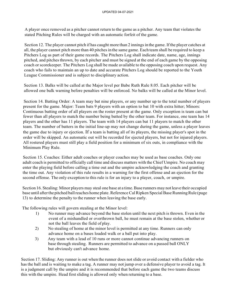A player once removed as a pitcher cannot return to the game as a pitcher. Any team that violates the stated Pitching Rules will be charged with an automatic forfeit of the game.

Section 12. The player cannot pitch if has caught more than 2 innings in the game. If the player catches at all, the player cannot pitch more than 40 pitches in the same game. Each team shall be required to keep a Pitchers Log as part of their game records. The Pitchers Log shall indicate date, name, age, innings pitched, and pitches thrown, by each pitcher and must be signed at the end of each game by the opposing coach or scorekeeper. The Pitchers Log shall be made available to the opposing coach upon request. Any coach who fails to maintain an up to date and accurate Pitchers Log should be reported to the Youth League Commissioner and is subject to disciplinary action.

Section 13. Balks will be called at the Major level per Babe Ruth Rule 8.05. Each pitcher will be allowed one balk warning before penalties will be enforced. No balks will be called at the Minor level.

Section 14. Batting Order: A team may bat nine players, or any number up to the total number of players present for the game. Major: Team bats 9 players with an option to bat 10 with extra hitter; Minors: Continuous batting order of all players on the roster present at the game. Only exception is team can bat fewer than all players to match the number being batted by the other team. For instance, one team has 14 players and the other has 11 players. The team with 14 players can bat 11 players to match the other team. The number of batters in the initial line-up may not change during the game, unless a player leaves the game due to injury or ejection. If a team is batting all of its players, the missing player's spot in the order will be skipped. An automatic out will be recorded for ejected players, but not for injured players. All rostered players must still play a field position for a minimum of six outs, in compliance with the Minimum Play Rule.

Section 15. Coaches: Either adult coaches or player coaches may be used as base coaches. Only one adult coach is permitted to officially call time and discuss matters with the Chief Umpire. No coach may enter the playing field before calling a time out and the umpire acknowledging the coach and granting the time out. Any violation of this rule results in a warning for the first offense and an ejection for the second offense. The only exception to this rule is for an injury to a player, coach, or umpire.

Section 16. Stealing: Minor players may steal one base at a time. Base runners may not leave their occupied base until after the pitched ball reaches home plate. Reference Cal Ripken Special Base Running Rule (page 13) to determine the penalty to the runner when leaving the base early.

The following rules will govern stealing at the Minor level:

- 1) No runner may advance beyond the base stolen until the next pitch is thrown. Even in the event of a mishandled or overthrown ball, he must remain at the base stolen, whether or not the ball leaves the field of play.
- 2) No stealing of home at the minor level is permitted at any time. Runners can only advance home on a bases loaded walk or a ball put into play.
- 3) Any team with a lead of 10 runs or more cannot continue advancing runners on base through stealing. Runners are permitted to advance on a passed ball ONLY but obviously can't advance home.

Section 17. Sliding: Any runner is out when the runner does not slide or avoid contact with a fielder who hasthe ball and is waiting to make a tag. A runner may not jump over a defensive player to avoid a tag. It is a judgment call by the umpire and it is recommended that before each game the two teams discuss this with the umpire. Head first sliding is allowed only when returning to a base.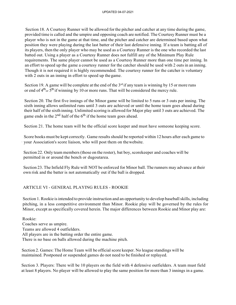Section 18. A Courtesy Runner will be allowed for the pitcher and catcher at any time during the game, provided time is called and the umpire and opposing coach are notified. The Courtesy Runner must be a player who is not in the game at that time, and the pitcher and catcher are determined based upon what position they were playing during the last batter of their last defensive inning. If a team is batting all of its players, then the only player who may be used as a Courtesy Runner is the one who recorded the last batted out. Using a player as a Courtesy Runner does not fulfill any of the Minimum Play Rule requirements. The same player cannot be used as a Courtesy Runner more than one time per inning. In an effort to speed up the game a courtesy runner for the catcher should be used with 2 outsin an inning. Though it is not required it is highly recommended. The courtesy runner for the catcher is voluntary with 2 outs in an inning in effort to speed up the game.

Section 19. A game will be complete at the end of the  $3<sup>rd</sup>$  if any team is winning by 15 or more runs or end of  $4<sup>th</sup>$ <sub>or</sub>  $5<sup>th</sup>$  if winning by 10 or more runs. That will be considered the mercy rule.

Section 20. The first five innings of the Minor game will be limited to 5 runs or 3 outs per inning. The sixth inning allows unlimited runs until 3 outs are achieved or until the home team goes ahead during their half of the sixth inning. Unlimited scoring is allowed for Major play until 3 outs are achieved. The game ends in the  $2<sup>nd</sup>$  half of the 6<sup>th</sup> if the home team goes ahead.

Section 21. The home team will be the official score keeper and must have someone keeping score.

Score books must be kept correctly. Game results should be reported within 12 hours after each game to your Association's score liaison, who will post them on the website.

Section 22. Only team members (those on the roster), bat boy, score keeper and coaches will be permitted in or around the bench or dugoutarea.

Section 23. The Infield Fly Rule will NOT be enforced for Minor ball. The runners may advance at their own risk and the batter is not automatically out if the ball is dropped.

## ARTICLE VI - GENERAL PLAYING RULES - ROOKIE

Section 1. Rookie is intended to provide instruction and an opportunity to develop baseball skills, including pitching, in a less competitive environment than Minor. Rookie play will be governed by the rules for Minor, except asspecifically covered herein. The major differences between Rookie and Minor play are:

Rookie: Coaches serve as umpire. Teams are allowed 4 outfielders. All players are in the batting order the entire game. There is no base on balls allowed during the machine pitch.

Section 2. Games: The Home Team will be official score keeper. No league standings will be maintained. Postponed or suspended games do not need to be finished or replayed.

Section 3. Players: There will be 10 players on the field with 4 defensive outfielders. A team must field at least 8 players. No player will be allowed to play the same position for more than 3 innings in a game.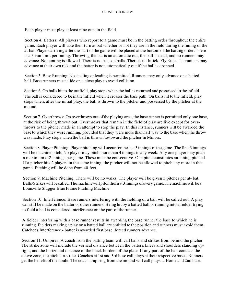Each player must play at least nine outs in the field.

Section 4, Batters: All players who report to a game must be in the batting order throughout the entire game. Each player will take their turn at bat whether or not they are in the field during the inning of the at-bat. Players arriving after the start ofthe game will be placed at the bottom ofthe batting order. There is a 3-run limit per inning. Throwing the bat is an automatic out, the ball is dead, and no runners may advance. No bunting is allowed. There is no base on balls. There is no Infield Fly Rule. The runners may advance at their own risk and the batter is not automatically out if the ball is dropped.

Section 5. Base Running: No stealing or leading is permitted. Runners may only advance on a batted ball. Base runners must slide on a close play to avoid collision.

Section 6. On balls hit to the outfield, play stops when the ball is returned and possessed inthe infield. The ball is considered to be in the infield when it crosses the base path. On balls hit to the infield, play stops when, after the initial play, the ball is thrown to the pitcher and possessed by the pitcher at the mound.

Section 7. Overthrows: On overthrows out of the playing area, the base runner is permitted only one base, at the risk of being thrown out. Overthrows that remain in the field of play are live except for overthrows to the pitcher made in an attempt to stop the play. In this instance, runners will be awarded the base to which they were running, provided that they were more than half way to the base when the throw was made. Play stops when the ball is thrown to/toward the pitcher in Minors.

Section 8. Player Pitching: Player pitching will occur forthe last 3innings ofthe game. The first 3 innings will be machine pitch. No player may pitch more than 4 innings in any week. Any one player may pitch a maximum of2 innings per game. These must be consecutive. One pitch constitutes an inning pitched. If a pitcher hits 2 players in the same inning, the pitcher will not be allowed to pitch any more in that game. Pitching will be done from 40 feet.

Section 9. Machine Pitching. There will be no walks. The player will be given 5 pitches per at- bat. Balls/Strikes will be called. The machine will pitchthefirst 3 innings of every game. The machine will be a Louisville Slugger Blue Frame Pitching Machine.

Section 10. Interference: Base runners interfering with the fielding of a ball will be called out. A play can still be made on the batter or other runners. Being hit by a batted ball or running into a fielder trying to field a ball is considered interference on the part of therunner.

A fielder interfering with a base runner results in awarding the base runner the base to which he is running. Fielders making a play on a batted ball are entitled to the position and runners must avoid them. Catcher's Interference - batter is awarded first base, forced runners advance.

Section 11. Umpires: A coach from the batting team will call balls and strikes from behind the pitcher. The strike zone will include the vertical distance between the batter's knees and shoulders standing upright, and the horizontal distance of the black borders of the plate. If any part of the ball contacts the above zone, the pitch is a strike. Coaches at 1st and 3rd base call plays at their respective bases. Runners get the benefit of the doubt. The coach umpiring from the mound will call plays at Home and 2nd base.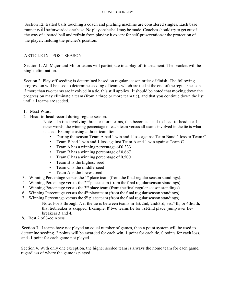Section 12. Batted balls touching a coach and pitching machine are considered singles. Each base runner Will be forwarded one base. No play on the ball may be made. Coaches should try to get out of the way of a batted ball and refrain from playing it except for self-preservationor the protection of the player: fielding the pitcher's position.

### ARTICLE IX - POST SEASON

Section 1. All Major and Minor teams will participate in a play-off tournament. The bracket will be single elimination.

Section 2. Play-off seeding is determined based on regular season order of finish. The following progression will be used to determine seeding of teams which are tied at the end of the regularseason. If more than two teams are involved in a tie, this still applies. Itshould be noted that moving down the progression may eliminate a team (from a three or more team tie), and that you continue down the list until all teams are seeded.

- 1. Most Wins.
- 2. Head-to-head record during regular season.

Note -- In ties involving three or more teams, this becomes head-to-head-to-head,etc. In other words, the winning percentage of each team versus all teams involved in the tie is what is used. Example using a three-team tie:

- During the season Team A had 1 win and l loss against Team Band 1 loss to Team C
- Team B had 1 win and 1 loss against Team A and 1 win against Team C
- Team A has a winning percentage of 0.333
- Team B has a winning percentage of 0.667
- Team C has a winning percentage of 0.500
- Team B is the highest seed
- Team C is the middle seed
- Team A is the lowest seed
- 3. Winning Percentage versus the  $1<sup>st</sup>$  place team (from the final regular season standings).
- 4. Winning Percentage versus the  $2<sup>nd</sup>$  place team (from the final regular season standings).
- 5. Winning Percentage versus the  $3<sup>rd</sup>$  place team (from the final regular season standings).
- 6. Winning Percentage versus the  $4<sup>th</sup>$  place team (from the final regular season standings).
- 7. Winning Percentage versus the  $5<sup>th</sup>$  place team (from the final regular season standings). Note: For 3 through 7, if the tie is between teams in 1st/2nd, 2nd/3rd, 3rd/4th, or 4th/5th, that tiebreaker is skipped. Example: If two teams tie for 1st/2nd place, jump over tiebreakers 3 and 4.
- 8. Best 2 of 3-coin toss.

Section 3. If teams have not played an equal number of games, then a point system will be used to determine seeding. 2 points will be awarded for each win, 1 point for each tie, 0 points for each loss, and -1 point for each game not played.

Section 4. With only one exception, the higher seeded team is always the home team for each game, regardless of where the game is played.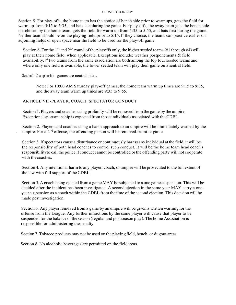#### UPDATED 04-07-2021

Section 5. For play-offs, the home team has the choice of bench side prior to warmups, gets the field for warm up from 5:15 to 5:35, and bats last during the game. For play-offs, the away team gets the bench side not chosen by the home team, gets the field for warm up from 5:35 to 5:55, and bats first during the game. Neither team should be on the playing field prior to 5:15. If they choose, the teams can practice earlier on adjoining fields or open space near the field to be used for the play-off game.

Section 6. For the 1<sup>st</sup> and 2<sup>nd</sup> round of the playoffs only, the higher seeded teams (#1 through #4) will play at their home field, when applicable. Exceptions include: weather postponements & field availability. If two teams from the same association are both among the top four seeded teams and where only one field is available, the lower seeded team will play their game on aneutral field.

Section 7. Championship games are neutral sites.

I

Note: For 10:00 AM Saturday play-off games, the home team warm up times are 9:15 to 9:35, and the away team warm up times are 9:35 to 9:55.

### ARTICLE VII -PLAYER, COACH, SPECTATOR CONDUCT

Section 1. Players and coaches using profanity will be removed from the game by the umpire. Exceptional sportsmanship is expected from those individuals associated with the CDBL.

Section 2. Players and coaches using a harsh approach to an umpire will be immediately warned by the umpire. For a  $2<sup>nd</sup>$  offense, the offending person will be removed from the game.

Section 3. If spectators cause a disturbance or continuously harass any individual at the field, it will be the responsibility of both head coaches to control such conduct. It will be the home team head coach's responsibilityto call the police if conduct cannot be controlled orthe offending party will not cooperate with the coaches.

Section 4. Any intentional harm to any player, coach, or umpire will be prosecuted to the full extent of the law with full support of the CDBL.

Section 5. A coach being ejected from a game MAY be subjected to a one game suspension. This will be decided after the incident has been investigated. A second ejection in the same year MAY carry a oneyearsuspension as a coach within the CDBL from the time of the second ejection. This decision will be made post investigation.

Section 6. Any player removed from a game by an umpire will be given a written warning for the offense from the League. Any further infractions by the same player will cause that player to be suspended for the balance of the season (regular and post season play). The home Association is responsible for administering the penalty.

Section 7. Tobacco products may not be used on the playing field, bench, or dugout areas.

Section 8. No alcoholic beverages are permitted on the fieldareas.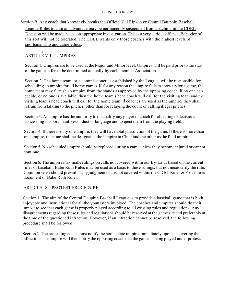#### UPDATED 04-07-2021

## Section 9. Any coach that knowingly breaks the Official Cal Ripken or Central Dauphin Baseball League Rules to gain an advantage may be permanently suspended from coaching in the CDBL. Decision will be made based on appropriate investigation. This is a very serious offense. Behavior of this sort will not be tolerated. The CDBL wants only those coaches with the highest levels of sportsmanship and game ethics.

# I ARTICLE VIII - UMPIRES

Section 1, Umpires are to be used at the Major and Minor level. Umpires will be paid prior to the start of the game, a fee to be determined annually by each member Association.

Section 2, The home team, or a commissioner as established by the League, will be responsible for scheduling an umpire for all home games. If for any reason the umpire fails to show up for a game, the. home team may furnish an umpire from the stands as approved by the opposing coach. If no one can decide, or no one is available, then the home team's head coach will call for the visiting team and the visiting team's head coach will call for the home team. If coaches are used as the umpire, they shall refrain from talking to the pitcher, other than for relaying the count or calling illegal pitches.

Section 3. An umpire has the authority to disqualify any player or coach for objecting to decisions concerning unsportsmanlike conduct or language and to eject them from the playing field.

Section 4. If there is only one umpire, they will have total jurisdiction of the game. If there is more than one umpire, then one shall be designated the Umpire in Chief and the other as the field umpire.

Section 5. No scheduled umpire should be replaced during a game unless they become injured or cannot continue.

Section 6. The umpire may make rulings on calls not covered within our By-Laws based on the current rules of baseball. Babe Ruth Rules may be used as a basis to these rulings, but not necessarily the rule. Common sense should prevail in any judgment that is not covered within the CDBL Rules & Procedures document or Babe Ruth Rules.

## ARTICLE IX - PROTEST PROCEDURE

Section 1. The aim of the Central Dauphin Baseball League is to provide a baseball game that is both enjoyable and instructional for all the youngsters involved. The coaches and umpires should do their utmost to see that each game is properly played according to all existing rules and regulations. Any disagreements regarding these rules and regulations should be resolved at the game site and preferably at the time of the questioned infraction. However, if an infraction cannot be resolved, the following procedure shall be followed:

Section 2. The protesting coach must notify the home plate umpire immediately upon discovering the infraction. The umpire will then notify the opposing coach that the game is being played under protest.